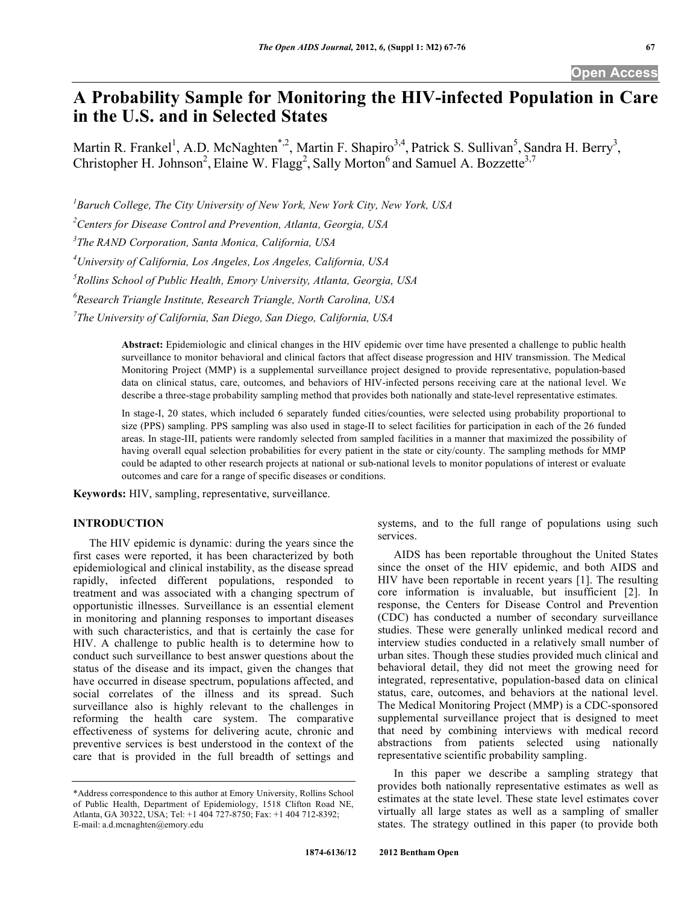# **A Probability Sample for Monitoring the HIV-infected Population in Care in the U.S. and in Selected States**

Martin R. Frankel<sup>1</sup>, A.D. McNaghten<sup>\*,2</sup>, Martin F. Shapiro<sup>3,4</sup>, Patrick S. Sullivan<sup>5</sup>, Sandra H. Berry<sup>3</sup>, Christopher H. Johnson<sup>2</sup>, Elaine W. Flagg<sup>2</sup>, Sally Morton<sup>6</sup> and Samuel A. Bozzette<sup>3,7</sup>

*1 Baruch College, The City University of New York, New York City, New York, USA* 

*2 Centers for Disease Control and Prevention, Atlanta, Georgia, USA* 

*3 The RAND Corporation, Santa Monica, California, USA* 

*4 University of California, Los Angeles, Los Angeles, California, USA* 

*5 Rollins School of Public Health, Emory University, Atlanta, Georgia, USA* 

*6 Research Triangle Institute, Research Triangle, North Carolina, USA* 

*7 The University of California, San Diego, San Diego, California, USA* 

**Abstract:** Epidemiologic and clinical changes in the HIV epidemic over time have presented a challenge to public health surveillance to monitor behavioral and clinical factors that affect disease progression and HIV transmission. The Medical Monitoring Project (MMP) is a supplemental surveillance project designed to provide representative, population-based data on clinical status, care, outcomes, and behaviors of HIV-infected persons receiving care at the national level. We describe a three-stage probability sampling method that provides both nationally and state-level representative estimates.

In stage-I, 20 states, which included 6 separately funded cities/counties, were selected using probability proportional to size (PPS) sampling. PPS sampling was also used in stage-II to select facilities for participation in each of the 26 funded areas. In stage-III, patients were randomly selected from sampled facilities in a manner that maximized the possibility of having overall equal selection probabilities for every patient in the state or city/county. The sampling methods for MMP could be adapted to other research projects at national or sub-national levels to monitor populations of interest or evaluate outcomes and care for a range of specific diseases or conditions.

**Keywords:** HIV, sampling, representative, surveillance.

## **INTRODUCTION**

 The HIV epidemic is dynamic: during the years since the first cases were reported, it has been characterized by both epidemiological and clinical instability, as the disease spread rapidly, infected different populations, responded to treatment and was associated with a changing spectrum of opportunistic illnesses. Surveillance is an essential element in monitoring and planning responses to important diseases with such characteristics, and that is certainly the case for HIV. A challenge to public health is to determine how to conduct such surveillance to best answer questions about the status of the disease and its impact, given the changes that have occurred in disease spectrum, populations affected, and social correlates of the illness and its spread. Such surveillance also is highly relevant to the challenges in reforming the health care system. The comparative effectiveness of systems for delivering acute, chronic and preventive services is best understood in the context of the care that is provided in the full breadth of settings and systems, and to the full range of populations using such services.

 AIDS has been reportable throughout the United States since the onset of the HIV epidemic, and both AIDS and HIV have been reportable in recent years [1]. The resulting core information is invaluable, but insufficient [2]. In response, the Centers for Disease Control and Prevention (CDC) has conducted a number of secondary surveillance studies. These were generally unlinked medical record and interview studies conducted in a relatively small number of urban sites. Though these studies provided much clinical and behavioral detail, they did not meet the growing need for integrated, representative, population-based data on clinical status, care, outcomes, and behaviors at the national level. The Medical Monitoring Project (MMP) is a CDC-sponsored supplemental surveillance project that is designed to meet that need by combining interviews with medical record abstractions from patients selected using nationally representative scientific probability sampling.

 In this paper we describe a sampling strategy that provides both nationally representative estimates as well as estimates at the state level. These state level estimates cover virtually all large states as well as a sampling of smaller states. The strategy outlined in this paper (to provide both

<sup>\*</sup>Address correspondence to this author at Emory University, Rollins School of Public Health, Department of Epidemiology, 1518 Clifton Road NE, Atlanta, GA 30322, USA; Tel: +1 404 727-8750; Fax: +1 404 712-8392; E-mail: a.d.mcnaghten@emory.edu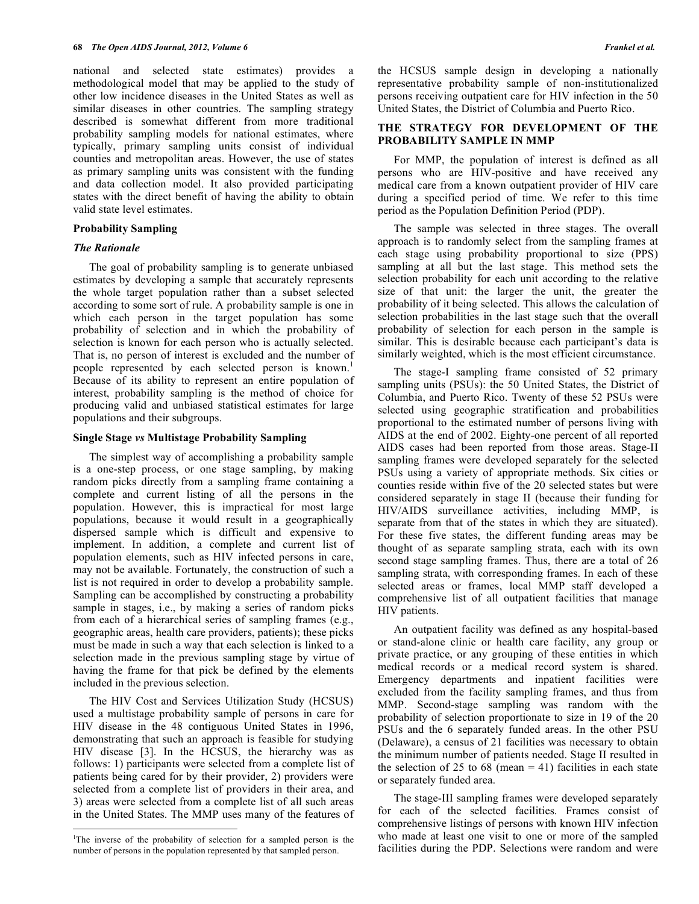national and selected state estimates) provides a methodological model that may be applied to the study of other low incidence diseases in the United States as well as similar diseases in other countries. The sampling strategy described is somewhat different from more traditional probability sampling models for national estimates, where typically, primary sampling units consist of individual counties and metropolitan areas. However, the use of states as primary sampling units was consistent with the funding and data collection model. It also provided participating states with the direct benefit of having the ability to obtain valid state level estimates.

### **Probability Sampling**

## *The Rationale*

 The goal of probability sampling is to generate unbiased estimates by developing a sample that accurately represents the whole target population rather than a subset selected according to some sort of rule. A probability sample is one in which each person in the target population has some probability of selection and in which the probability of selection is known for each person who is actually selected. That is, no person of interest is excluded and the number of people represented by each selected person is known.<sup>1</sup> Because of its ability to represent an entire population of interest, probability sampling is the method of choice for producing valid and unbiased statistical estimates for large populations and their subgroups.

#### **Single Stage** *vs* **Multistage Probability Sampling**

 The simplest way of accomplishing a probability sample is a one-step process, or one stage sampling, by making random picks directly from a sampling frame containing a complete and current listing of all the persons in the population. However, this is impractical for most large populations, because it would result in a geographically dispersed sample which is difficult and expensive to implement. In addition, a complete and current list of population elements, such as HIV infected persons in care, may not be available. Fortunately, the construction of such a list is not required in order to develop a probability sample. Sampling can be accomplished by constructing a probability sample in stages, i.e., by making a series of random picks from each of a hierarchical series of sampling frames (e.g., geographic areas, health care providers, patients); these picks must be made in such a way that each selection is linked to a selection made in the previous sampling stage by virtue of having the frame for that pick be defined by the elements included in the previous selection.

 The HIV Cost and Services Utilization Study (HCSUS) used a multistage probability sample of persons in care for HIV disease in the 48 contiguous United States in 1996, demonstrating that such an approach is feasible for studying HIV disease [3]. In the HCSUS, the hierarchy was as follows: 1) participants were selected from a complete list of patients being cared for by their provider, 2) providers were selected from a complete list of providers in their area, and 3) areas were selected from a complete list of all such areas in the United States. The MMP uses many of the features of

1

the HCSUS sample design in developing a nationally representative probability sample of non-institutionalized persons receiving outpatient care for HIV infection in the 50 United States, the District of Columbia and Puerto Rico.

## **THE STRATEGY FOR DEVELOPMENT OF THE PROBABILITY SAMPLE IN MMP**

 For MMP, the population of interest is defined as all persons who are HIV-positive and have received any medical care from a known outpatient provider of HIV care during a specified period of time. We refer to this time period as the Population Definition Period (PDP).

 The sample was selected in three stages. The overall approach is to randomly select from the sampling frames at each stage using probability proportional to size (PPS) sampling at all but the last stage. This method sets the selection probability for each unit according to the relative size of that unit: the larger the unit, the greater the probability of it being selected. This allows the calculation of selection probabilities in the last stage such that the overall probability of selection for each person in the sample is similar. This is desirable because each participant's data is similarly weighted, which is the most efficient circumstance.

 The stage-I sampling frame consisted of 52 primary sampling units (PSUs): the 50 United States, the District of Columbia, and Puerto Rico. Twenty of these 52 PSUs were selected using geographic stratification and probabilities proportional to the estimated number of persons living with AIDS at the end of 2002. Eighty-one percent of all reported AIDS cases had been reported from those areas. Stage-II sampling frames were developed separately for the selected PSUs using a variety of appropriate methods. Six cities or counties reside within five of the 20 selected states but were considered separately in stage II (because their funding for HIV/AIDS surveillance activities, including MMP, is separate from that of the states in which they are situated). For these five states, the different funding areas may be thought of as separate sampling strata, each with its own second stage sampling frames. Thus, there are a total of 26 sampling strata, with corresponding frames. In each of these selected areas or frames, local MMP staff developed a comprehensive list of all outpatient facilities that manage HIV patients.

 An outpatient facility was defined as any hospital-based or stand-alone clinic or health care facility, any group or private practice, or any grouping of these entities in which medical records or a medical record system is shared. Emergency departments and inpatient facilities were excluded from the facility sampling frames, and thus from MMP. Second-stage sampling was random with the probability of selection proportionate to size in 19 of the 20 PSUs and the 6 separately funded areas. In the other PSU (Delaware), a census of 21 facilities was necessary to obtain the minimum number of patients needed. Stage II resulted in the selection of 25 to 68 (mean  $=$  41) facilities in each state or separately funded area.

 The stage-III sampling frames were developed separately for each of the selected facilities. Frames consist of comprehensive listings of persons with known HIV infection who made at least one visit to one or more of the sampled facilities during the PDP. Selections were random and were

<sup>&</sup>lt;sup>1</sup>The inverse of the probability of selection for a sampled person is the number of persons in the population represented by that sampled person.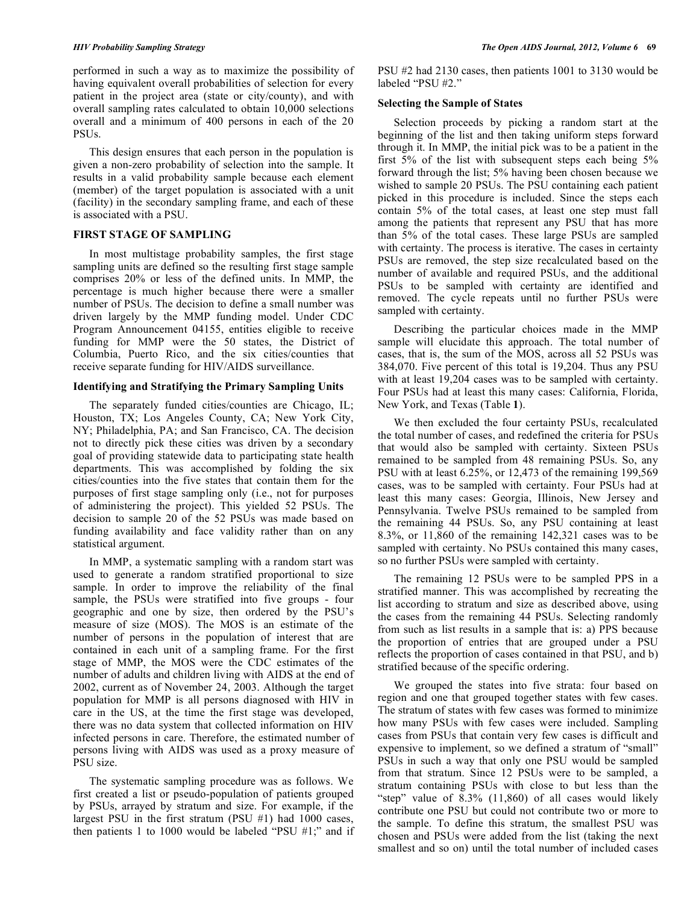performed in such a way as to maximize the possibility of having equivalent overall probabilities of selection for every patient in the project area (state or city/county), and with overall sampling rates calculated to obtain 10,000 selections overall and a minimum of 400 persons in each of the 20 PSUs.

 This design ensures that each person in the population is given a non-zero probability of selection into the sample. It results in a valid probability sample because each element (member) of the target population is associated with a unit (facility) in the secondary sampling frame, and each of these is associated with a PSU.

#### **FIRST STAGE OF SAMPLING**

 In most multistage probability samples, the first stage sampling units are defined so the resulting first stage sample comprises 20% or less of the defined units. In MMP, the percentage is much higher because there were a smaller number of PSUs. The decision to define a small number was driven largely by the MMP funding model. Under CDC Program Announcement 04155, entities eligible to receive funding for MMP were the 50 states, the District of Columbia, Puerto Rico, and the six cities/counties that receive separate funding for HIV/AIDS surveillance.

## **Identifying and Stratifying the Primary Sampling Units**

 The separately funded cities/counties are Chicago, IL; Houston, TX; Los Angeles County, CA; New York City, NY; Philadelphia, PA; and San Francisco, CA. The decision not to directly pick these cities was driven by a secondary goal of providing statewide data to participating state health departments. This was accomplished by folding the six cities/counties into the five states that contain them for the purposes of first stage sampling only (i.e., not for purposes of administering the project). This yielded 52 PSUs. The decision to sample 20 of the 52 PSUs was made based on funding availability and face validity rather than on any statistical argument.

 In MMP, a systematic sampling with a random start was used to generate a random stratified proportional to size sample. In order to improve the reliability of the final sample, the PSUs were stratified into five groups - four geographic and one by size, then ordered by the PSU's measure of size (MOS). The MOS is an estimate of the number of persons in the population of interest that are contained in each unit of a sampling frame. For the first stage of MMP, the MOS were the CDC estimates of the number of adults and children living with AIDS at the end of 2002, current as of November 24, 2003. Although the target population for MMP is all persons diagnosed with HIV in care in the US, at the time the first stage was developed, there was no data system that collected information on HIV infected persons in care. Therefore, the estimated number of persons living with AIDS was used as a proxy measure of PSU size.

 The systematic sampling procedure was as follows. We first created a list or pseudo-population of patients grouped by PSUs, arrayed by stratum and size. For example, if the largest PSU in the first stratum (PSU #1) had 1000 cases, then patients 1 to 1000 would be labeled "PSU #1;" and if PSU #2 had 2130 cases, then patients 1001 to 3130 would be labeled "PSU #2."

#### **Selecting the Sample of States**

 Selection proceeds by picking a random start at the beginning of the list and then taking uniform steps forward through it. In MMP, the initial pick was to be a patient in the first 5% of the list with subsequent steps each being 5% forward through the list; 5% having been chosen because we wished to sample 20 PSUs. The PSU containing each patient picked in this procedure is included. Since the steps each contain 5% of the total cases, at least one step must fall among the patients that represent any PSU that has more than 5% of the total cases. These large PSUs are sampled with certainty. The process is iterative. The cases in certainty PSUs are removed, the step size recalculated based on the number of available and required PSUs, and the additional PSUs to be sampled with certainty are identified and removed. The cycle repeats until no further PSUs were sampled with certainty.

 Describing the particular choices made in the MMP sample will elucidate this approach. The total number of cases, that is, the sum of the MOS, across all 52 PSUs was 384,070. Five percent of this total is 19,204. Thus any PSU with at least 19,204 cases was to be sampled with certainty. Four PSUs had at least this many cases: California, Florida, New York, and Texas (Table **1**).

 We then excluded the four certainty PSUs, recalculated the total number of cases, and redefined the criteria for PSUs that would also be sampled with certainty. Sixteen PSUs remained to be sampled from 48 remaining PSUs. So, any PSU with at least 6.25%, or 12,473 of the remaining 199,569 cases, was to be sampled with certainty. Four PSUs had at least this many cases: Georgia, Illinois, New Jersey and Pennsylvania. Twelve PSUs remained to be sampled from the remaining 44 PSUs. So, any PSU containing at least 8.3%, or 11,860 of the remaining 142,321 cases was to be sampled with certainty. No PSUs contained this many cases, so no further PSUs were sampled with certainty.

 The remaining 12 PSUs were to be sampled PPS in a stratified manner. This was accomplished by recreating the list according to stratum and size as described above, using the cases from the remaining 44 PSUs. Selecting randomly from such as list results in a sample that is: a) PPS because the proportion of entries that are grouped under a PSU reflects the proportion of cases contained in that PSU, and b) stratified because of the specific ordering.

 We grouped the states into five strata: four based on region and one that grouped together states with few cases. The stratum of states with few cases was formed to minimize how many PSUs with few cases were included. Sampling cases from PSUs that contain very few cases is difficult and expensive to implement, so we defined a stratum of "small" PSUs in such a way that only one PSU would be sampled from that stratum. Since 12 PSUs were to be sampled, a stratum containing PSUs with close to but less than the "step" value of 8.3% (11,860) of all cases would likely contribute one PSU but could not contribute two or more to the sample. To define this stratum, the smallest PSU was chosen and PSUs were added from the list (taking the next smallest and so on) until the total number of included cases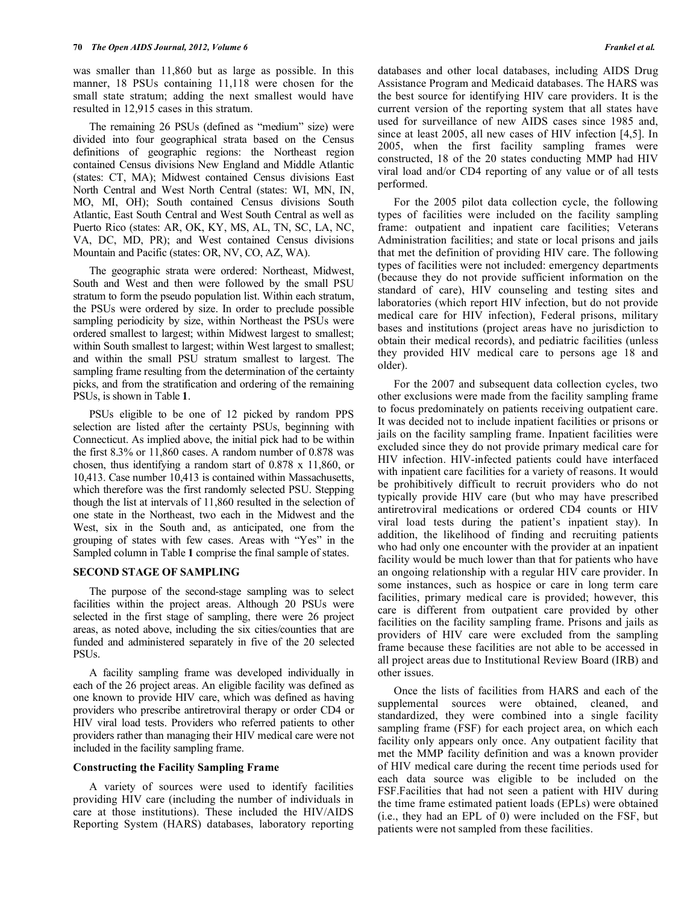was smaller than 11,860 but as large as possible. In this manner, 18 PSUs containing 11,118 were chosen for the small state stratum; adding the next smallest would have resulted in 12,915 cases in this stratum.

 The remaining 26 PSUs (defined as "medium" size) were divided into four geographical strata based on the Census definitions of geographic regions: the Northeast region contained Census divisions New England and Middle Atlantic (states: CT, MA); Midwest contained Census divisions East North Central and West North Central (states: WI, MN, IN, MO, MI, OH); South contained Census divisions South Atlantic, East South Central and West South Central as well as Puerto Rico (states: AR, OK, KY, MS, AL, TN, SC, LA, NC, VA, DC, MD, PR); and West contained Census divisions Mountain and Pacific (states: OR, NV, CO, AZ, WA).

 The geographic strata were ordered: Northeast, Midwest, South and West and then were followed by the small PSU stratum to form the pseudo population list. Within each stratum, the PSUs were ordered by size. In order to preclude possible sampling periodicity by size, within Northeast the PSUs were ordered smallest to largest; within Midwest largest to smallest; within South smallest to largest; within West largest to smallest; and within the small PSU stratum smallest to largest. The sampling frame resulting from the determination of the certainty picks, and from the stratification and ordering of the remaining PSUs, is shown in Table **1**.

 PSUs eligible to be one of 12 picked by random PPS selection are listed after the certainty PSUs, beginning with Connecticut. As implied above, the initial pick had to be within the first 8.3% or 11,860 cases. A random number of 0.878 was chosen, thus identifying a random start of 0.878 x 11,860, or 10,413. Case number 10,413 is contained within Massachusetts, which therefore was the first randomly selected PSU. Stepping though the list at intervals of 11,860 resulted in the selection of one state in the Northeast, two each in the Midwest and the West, six in the South and, as anticipated, one from the grouping of states with few cases. Areas with "Yes" in the Sampled column in Table **1** comprise the final sample of states.

#### **SECOND STAGE OF SAMPLING**

 The purpose of the second-stage sampling was to select facilities within the project areas. Although 20 PSUs were selected in the first stage of sampling, there were 26 project areas, as noted above, including the six cities/counties that are funded and administered separately in five of the 20 selected PSUs.

 A facility sampling frame was developed individually in each of the 26 project areas. An eligible facility was defined as one known to provide HIV care, which was defined as having providers who prescribe antiretroviral therapy or order CD4 or HIV viral load tests. Providers who referred patients to other providers rather than managing their HIV medical care were not included in the facility sampling frame.

#### **Constructing the Facility Sampling Frame**

 A variety of sources were used to identify facilities providing HIV care (including the number of individuals in care at those institutions). These included the HIV/AIDS Reporting System (HARS) databases, laboratory reporting databases and other local databases, including AIDS Drug Assistance Program and Medicaid databases. The HARS was the best source for identifying HIV care providers. It is the current version of the reporting system that all states have used for surveillance of new AIDS cases since 1985 and, since at least 2005, all new cases of HIV infection [4,5]. In 2005, when the first facility sampling frames were constructed, 18 of the 20 states conducting MMP had HIV viral load and/or CD4 reporting of any value or of all tests performed.

 For the 2005 pilot data collection cycle, the following types of facilities were included on the facility sampling frame: outpatient and inpatient care facilities; Veterans Administration facilities; and state or local prisons and jails that met the definition of providing HIV care. The following types of facilities were not included: emergency departments (because they do not provide sufficient information on the standard of care), HIV counseling and testing sites and laboratories (which report HIV infection, but do not provide medical care for HIV infection), Federal prisons, military bases and institutions (project areas have no jurisdiction to obtain their medical records), and pediatric facilities (unless they provided HIV medical care to persons age 18 and older).

 For the 2007 and subsequent data collection cycles, two other exclusions were made from the facility sampling frame to focus predominately on patients receiving outpatient care. It was decided not to include inpatient facilities or prisons or jails on the facility sampling frame. Inpatient facilities were excluded since they do not provide primary medical care for HIV infection. HIV-infected patients could have interfaced with inpatient care facilities for a variety of reasons. It would be prohibitively difficult to recruit providers who do not typically provide HIV care (but who may have prescribed antiretroviral medications or ordered CD4 counts or HIV viral load tests during the patient's inpatient stay). In addition, the likelihood of finding and recruiting patients who had only one encounter with the provider at an inpatient facility would be much lower than that for patients who have an ongoing relationship with a regular HIV care provider. In some instances, such as hospice or care in long term care facilities, primary medical care is provided; however, this care is different from outpatient care provided by other facilities on the facility sampling frame. Prisons and jails as providers of HIV care were excluded from the sampling frame because these facilities are not able to be accessed in all project areas due to Institutional Review Board (IRB) and other issues.

 Once the lists of facilities from HARS and each of the supplemental sources were obtained, cleaned, and standardized, they were combined into a single facility sampling frame (FSF) for each project area, on which each facility only appears only once. Any outpatient facility that met the MMP facility definition and was a known provider of HIV medical care during the recent time periods used for each data source was eligible to be included on the FSF.Facilities that had not seen a patient with HIV during the time frame estimated patient loads (EPLs) were obtained (i.e., they had an EPL of 0) were included on the FSF, but patients were not sampled from these facilities.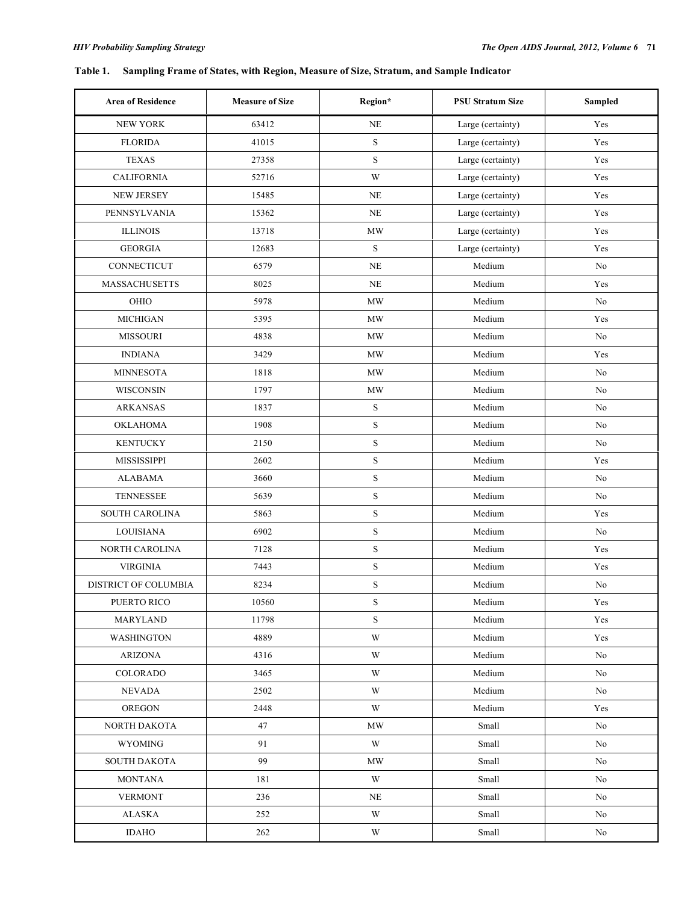## **Table 1. Sampling Frame of States, with Region, Measure of Size, Stratum, and Sample Indicator**

| <b>Area of Residence</b> | <b>Measure of Size</b> | Region*     | <b>PSU Stratum Size</b> | Sampled |
|--------------------------|------------------------|-------------|-------------------------|---------|
| <b>NEW YORK</b>          | 63412                  | <b>NE</b>   | Large (certainty)       | Yes     |
| <b>FLORIDA</b>           | 41015                  | ${\bf S}$   | Large (certainty)       | Yes     |
| <b>TEXAS</b>             | 27358                  | ${\bf S}$   | Large (certainty)       | Yes     |
| <b>CALIFORNIA</b>        | 52716                  | W           | Large (certainty)       | Yes     |
| <b>NEW JERSEY</b>        | 15485                  | <b>NE</b>   | Large (certainty)       | Yes     |
| PENNSYLVANIA             | 15362                  | NE          | Large (certainty)       | Yes     |
| <b>ILLINOIS</b>          | 13718                  | <b>MW</b>   | Large (certainty)       | Yes     |
| <b>GEORGIA</b>           | 12683                  | ${\bf S}$   | Large (certainty)       | Yes     |
| CONNECTICUT              | 6579                   | <b>NE</b>   | Medium                  | No.     |
| <b>MASSACHUSETTS</b>     | 8025                   | NE          | Medium                  | Yes     |
| OHIO                     | 5978                   | MW          | Medium                  | No      |
| <b>MICHIGAN</b>          | 5395                   | <b>MW</b>   | Medium                  | Yes     |
| <b>MISSOURI</b>          | 4838                   | <b>MW</b>   | Medium                  | No.     |
| <b>INDIANA</b>           | 3429                   | MW          | Medium                  | Yes     |
| <b>MINNESOTA</b>         | 1818                   | <b>MW</b>   | Medium                  | No      |
| <b>WISCONSIN</b>         | 1797                   | MW          | Medium                  | No      |
| <b>ARKANSAS</b>          | 1837                   | $\mathbf S$ | Medium                  | No      |
| <b>OKLAHOMA</b>          | 1908                   | $\mathbf S$ | Medium                  | No      |
| <b>KENTUCKY</b>          | 2150                   | ${\bf S}$   | Medium                  | No      |
| <b>MISSISSIPPI</b>       | 2602                   | ${\bf S}$   | Medium                  | Yes     |
| <b>ALABAMA</b>           | 3660                   | ${\bf S}$   | Medium                  | No      |
| TENNESSEE                | 5639                   | $\mathbf S$ | Medium                  | No.     |
| SOUTH CAROLINA           | 5863                   | ${\bf S}$   | Medium                  | Yes     |
| LOUISIANA                | 6902                   | $\mathbf S$ | Medium                  | No      |
| NORTH CAROLINA           | 7128                   | ${\bf S}$   | Medium                  | Yes     |
| <b>VIRGINIA</b>          | 7443                   | ${\bf S}$   | Medium                  | Yes     |
| DISTRICT OF COLUMBIA     | 8234                   | S           | Medium                  | No      |
| PUERTO RICO              | 10560                  | S           | Medium                  | Yes     |
| <b>MARYLAND</b>          | 11798                  | S           | Medium                  | Yes     |
| <b>WASHINGTON</b>        | 4889                   | W           | Medium                  | Yes     |
| <b>ARIZONA</b>           | 4316                   | W           | Medium                  | No      |
| COLORADO                 | 3465                   | W           | Medium                  | No      |
| <b>NEVADA</b>            | 2502                   | W           | Medium                  | No      |
| <b>OREGON</b>            | 2448                   | W           | Medium                  | Yes     |
| NORTH DAKOTA             | 47                     | MW          | Small                   | No      |
| <b>WYOMING</b>           | 91                     | W           | Small                   | No      |
| <b>SOUTH DAKOTA</b>      | 99                     | <b>MW</b>   | Small                   | No      |
| <b>MONTANA</b>           | 181                    | W           | Small                   | No      |
| <b>VERMONT</b>           | 236                    | NE          | Small                   | No      |
| <b>ALASKA</b>            | 252                    | W           | Small                   | No      |
| <b>IDAHO</b>             | 262                    | W           | Small                   | No      |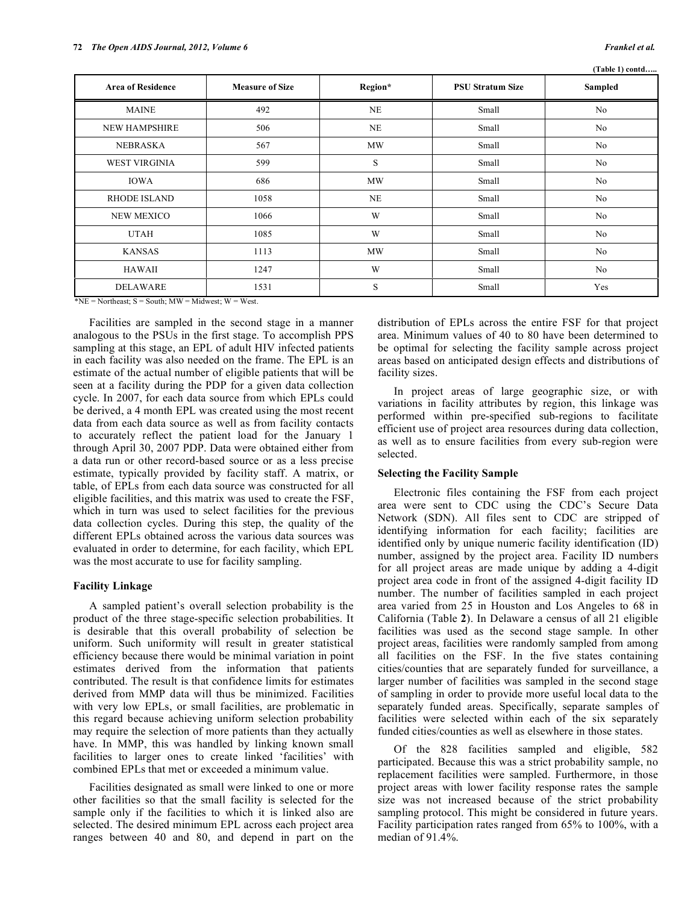**(Table 1) contd…..** 

| <b>Area of Residence</b> | <b>Measure of Size</b> | Region*   | <b>PSU Stratum Size</b> | (1 apie 1) contu<br>Sampled |
|--------------------------|------------------------|-----------|-------------------------|-----------------------------|
| <b>MAINE</b>             | 492                    | NE        | Small                   | No                          |
| <b>NEW HAMPSHIRE</b>     | 506                    | <b>NE</b> | Small                   | No                          |
| <b>NEBRASKA</b>          | 567                    | MW        | Small                   | No                          |
| <b>WEST VIRGINIA</b>     | 599                    | S         | Small                   | No                          |
| <b>IOWA</b>              | 686                    | MW        | Small                   | No                          |
| <b>RHODE ISLAND</b>      | 1058                   | NE        | Small                   | No                          |
| NEW MEXICO               | 1066                   | W         | Small                   | No                          |
| <b>UTAH</b>              | 1085                   | W         | Small                   | No                          |
| <b>KANSAS</b>            | 1113                   | MW        | Small                   | No                          |
| HAWAII                   | 1247                   | W         | Small                   | No                          |
| <b>DELAWARE</b>          | 1531                   | S         | Small                   | Yes                         |

\*NE = Northeast;  $S =$  South;  $MW =$  Midwest;  $W =$  West.

 Facilities are sampled in the second stage in a manner analogous to the PSUs in the first stage. To accomplish PPS sampling at this stage, an EPL of adult HIV infected patients in each facility was also needed on the frame. The EPL is an estimate of the actual number of eligible patients that will be seen at a facility during the PDP for a given data collection cycle. In 2007, for each data source from which EPLs could be derived, a 4 month EPL was created using the most recent data from each data source as well as from facility contacts to accurately reflect the patient load for the January 1 through April 30, 2007 PDP. Data were obtained either from a data run or other record-based source or as a less precise estimate, typically provided by facility staff. A matrix, or table, of EPLs from each data source was constructed for all eligible facilities, and this matrix was used to create the FSF, which in turn was used to select facilities for the previous data collection cycles. During this step, the quality of the different EPLs obtained across the various data sources was evaluated in order to determine, for each facility, which EPL was the most accurate to use for facility sampling.

#### **Facility Linkage**

 A sampled patient's overall selection probability is the product of the three stage-specific selection probabilities. It is desirable that this overall probability of selection be uniform. Such uniformity will result in greater statistical efficiency because there would be minimal variation in point estimates derived from the information that patients contributed. The result is that confidence limits for estimates derived from MMP data will thus be minimized. Facilities with very low EPLs, or small facilities, are problematic in this regard because achieving uniform selection probability may require the selection of more patients than they actually have. In MMP, this was handled by linking known small facilities to larger ones to create linked 'facilities' with combined EPLs that met or exceeded a minimum value.

 Facilities designated as small were linked to one or more other facilities so that the small facility is selected for the sample only if the facilities to which it is linked also are selected. The desired minimum EPL across each project area ranges between 40 and 80, and depend in part on the distribution of EPLs across the entire FSF for that project area. Minimum values of 40 to 80 have been determined to be optimal for selecting the facility sample across project areas based on anticipated design effects and distributions of facility sizes.

 In project areas of large geographic size, or with variations in facility attributes by region, this linkage was performed within pre-specified sub-regions to facilitate efficient use of project area resources during data collection, as well as to ensure facilities from every sub-region were selected.

## **Selecting the Facility Sample**

 Electronic files containing the FSF from each project area were sent to CDC using the CDC's Secure Data Network (SDN). All files sent to CDC are stripped of identifying information for each facility; facilities are identified only by unique numeric facility identification (ID) number, assigned by the project area. Facility ID numbers for all project areas are made unique by adding a 4-digit project area code in front of the assigned 4-digit facility ID number. The number of facilities sampled in each project area varied from 25 in Houston and Los Angeles to 68 in California (Table **2**). In Delaware a census of all 21 eligible facilities was used as the second stage sample. In other project areas, facilities were randomly sampled from among all facilities on the FSF. In the five states containing cities/counties that are separately funded for surveillance, a larger number of facilities was sampled in the second stage of sampling in order to provide more useful local data to the separately funded areas. Specifically, separate samples of facilities were selected within each of the six separately funded cities/counties as well as elsewhere in those states.

 Of the 828 facilities sampled and eligible, 582 participated. Because this was a strict probability sample, no replacement facilities were sampled. Furthermore, in those project areas with lower facility response rates the sample size was not increased because of the strict probability sampling protocol. This might be considered in future years. Facility participation rates ranged from 65% to 100%, with a median of 91.4%.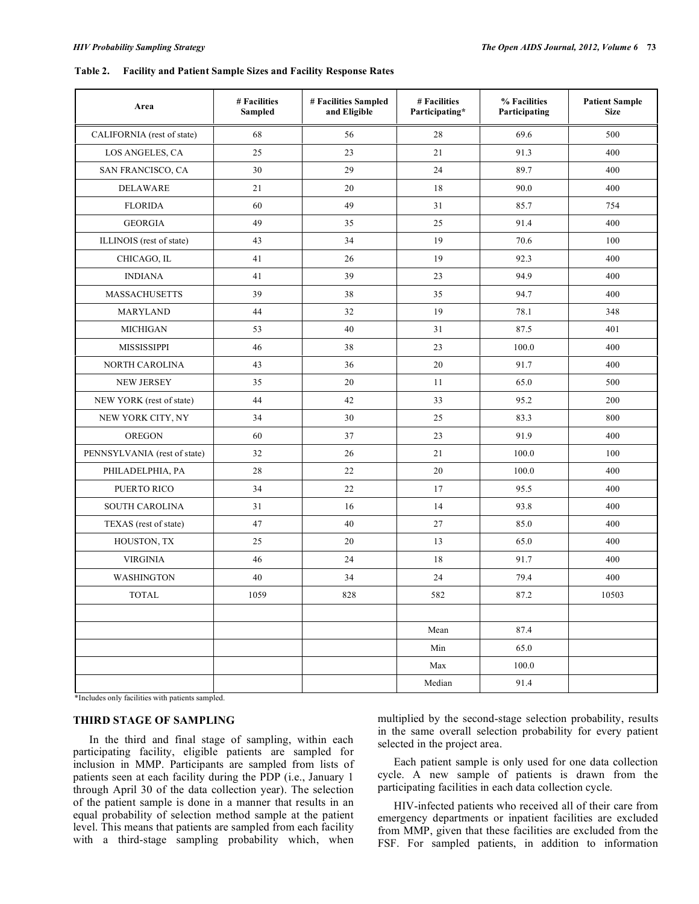#### **Table 2. Facility and Patient Sample Sizes and Facility Response Rates**

| Area                         | # Facilities<br>Sampled | # Facilities Sampled<br>and Eligible | # Facilities<br>Participating* | % Facilities<br>Participating | <b>Patient Sample</b><br><b>Size</b> |
|------------------------------|-------------------------|--------------------------------------|--------------------------------|-------------------------------|--------------------------------------|
| CALIFORNIA (rest of state)   | 68                      | 56                                   | 28                             | 69.6                          | 500                                  |
| LOS ANGELES, CA              | 25                      | 23                                   | 21                             | 91.3                          | 400                                  |
| SAN FRANCISCO, CA            | 30                      | 29                                   | 24                             | 89.7                          | 400                                  |
| <b>DELAWARE</b>              | 21                      | 20                                   | 18                             | 90.0                          | 400                                  |
| <b>FLORIDA</b>               | 60                      | 49                                   | 31                             | 85.7                          | 754                                  |
| <b>GEORGIA</b>               | 49                      | 35                                   | 25                             | 91.4                          | 400                                  |
| ILLINOIS (rest of state)     | 43                      | 34                                   | 19                             | 70.6                          | 100                                  |
| CHICAGO, IL                  | 41                      | 26                                   | 19                             | 92.3                          | 400                                  |
| <b>INDIANA</b>               | 41                      | 39                                   | 23                             | 94.9                          | 400                                  |
| <b>MASSACHUSETTS</b>         | 39                      | 38                                   | 35                             | 94.7                          | 400                                  |
| MARYLAND                     | 44                      | 32                                   | 19                             | 78.1                          | 348                                  |
| <b>MICHIGAN</b>              | 53                      | 40                                   | 31                             | 87.5                          | 401                                  |
| MISSISSIPPI                  | 46                      | 38                                   | 23                             | 100.0                         | 400                                  |
| NORTH CAROLINA               | 43                      | 36                                   | 20                             | 91.7                          | 400                                  |
| <b>NEW JERSEY</b>            | 35                      | 20                                   | 11                             | 65.0                          | 500                                  |
| NEW YORK (rest of state)     | 44                      | 42                                   | 33                             | 95.2                          | 200                                  |
| NEW YORK CITY, NY            | 34                      | 30                                   | 25                             | 83.3                          | 800                                  |
| <b>OREGON</b>                | 60                      | 37                                   | 23                             | 91.9                          | 400                                  |
| PENNSYLVANIA (rest of state) | 32                      | 26                                   | 21                             | 100.0                         | 100                                  |
| PHILADELPHIA, PA             | 28                      | 22                                   | 20                             | 100.0                         | 400                                  |
| PUERTO RICO                  | 34                      | 22                                   | 17                             | 95.5                          | 400                                  |
| <b>SOUTH CAROLINA</b>        | 31                      | 16                                   | 14                             | 93.8                          | 400                                  |
| TEXAS (rest of state)        | 47                      | 40                                   | 27                             | 85.0                          | 400                                  |
| HOUSTON, TX                  | 25                      | 20                                   | 13                             | 65.0                          | 400                                  |
| <b>VIRGINIA</b>              | 46                      | 24                                   | 18                             | 91.7                          | 400                                  |
| <b>WASHINGTON</b>            | 40                      | 34                                   | 24                             | 79.4                          | 400                                  |
| <b>TOTAL</b>                 | 1059                    | 828                                  | 582                            | 87.2                          | 10503                                |
|                              |                         |                                      |                                |                               |                                      |
|                              |                         |                                      | Mean                           | 87.4                          |                                      |
|                              |                         |                                      | Min                            | 65.0                          |                                      |
|                              |                         |                                      | Max                            | 100.0                         |                                      |
|                              |                         |                                      | Median                         | 91.4                          |                                      |

\*Includes only facilities with patients sampled.

## **THIRD STAGE OF SAMPLING**

 In the third and final stage of sampling, within each participating facility, eligible patients are sampled for inclusion in MMP. Participants are sampled from lists of patients seen at each facility during the PDP (i.e., January 1 through April 30 of the data collection year). The selection of the patient sample is done in a manner that results in an equal probability of selection method sample at the patient level. This means that patients are sampled from each facility with a third-stage sampling probability which, when

multiplied by the second-stage selection probability, results in the same overall selection probability for every patient selected in the project area.

 Each patient sample is only used for one data collection cycle. A new sample of patients is drawn from the participating facilities in each data collection cycle.

 HIV-infected patients who received all of their care from emergency departments or inpatient facilities are excluded from MMP, given that these facilities are excluded from the FSF. For sampled patients, in addition to information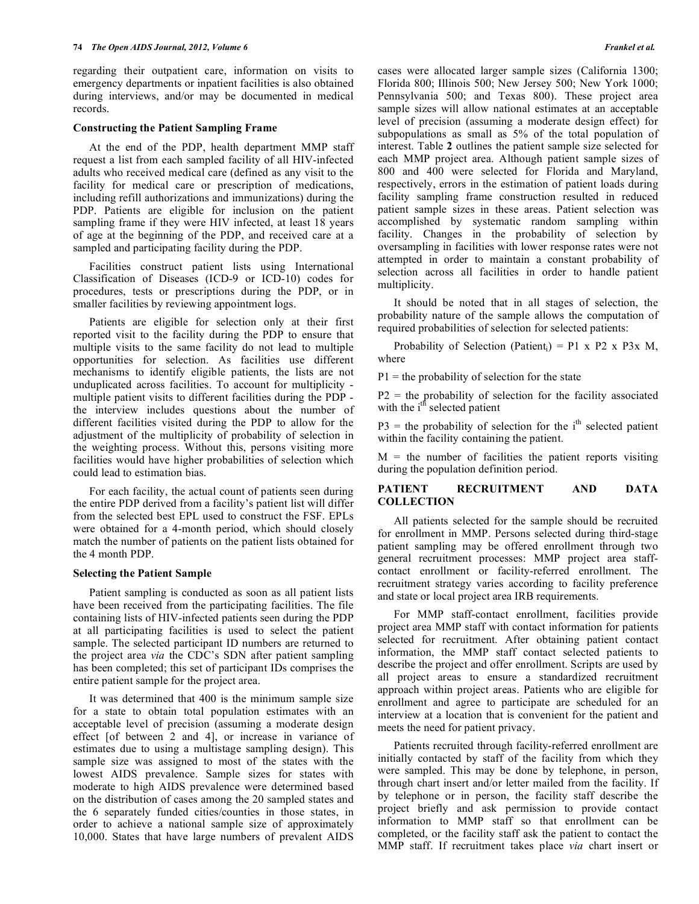regarding their outpatient care, information on visits to emergency departments or inpatient facilities is also obtained during interviews, and/or may be documented in medical records.

#### **Constructing the Patient Sampling Frame**

 At the end of the PDP, health department MMP staff request a list from each sampled facility of all HIV-infected adults who received medical care (defined as any visit to the facility for medical care or prescription of medications, including refill authorizations and immunizations) during the PDP. Patients are eligible for inclusion on the patient sampling frame if they were HIV infected, at least 18 years of age at the beginning of the PDP, and received care at a sampled and participating facility during the PDP.

 Facilities construct patient lists using International Classification of Diseases (ICD-9 or ICD-10) codes for procedures, tests or prescriptions during the PDP, or in smaller facilities by reviewing appointment logs.

 Patients are eligible for selection only at their first reported visit to the facility during the PDP to ensure that multiple visits to the same facility do not lead to multiple opportunities for selection. As facilities use different mechanisms to identify eligible patients, the lists are not unduplicated across facilities. To account for multiplicity multiple patient visits to different facilities during the PDP the interview includes questions about the number of different facilities visited during the PDP to allow for the adjustment of the multiplicity of probability of selection in the weighting process. Without this, persons visiting more facilities would have higher probabilities of selection which could lead to estimation bias.

 For each facility, the actual count of patients seen during the entire PDP derived from a facility's patient list will differ from the selected best EPL used to construct the FSF. EPLs were obtained for a 4-month period, which should closely match the number of patients on the patient lists obtained for the 4 month PDP.

#### **Selecting the Patient Sample**

 Patient sampling is conducted as soon as all patient lists have been received from the participating facilities. The file containing lists of HIV-infected patients seen during the PDP at all participating facilities is used to select the patient sample. The selected participant ID numbers are returned to the project area *via* the CDC's SDN after patient sampling has been completed; this set of participant IDs comprises the entire patient sample for the project area.

 It was determined that 400 is the minimum sample size for a state to obtain total population estimates with an acceptable level of precision (assuming a moderate design effect [of between 2 and 4], or increase in variance of estimates due to using a multistage sampling design). This sample size was assigned to most of the states with the lowest AIDS prevalence. Sample sizes for states with moderate to high AIDS prevalence were determined based on the distribution of cases among the 20 sampled states and the 6 separately funded cities/counties in those states, in order to achieve a national sample size of approximately 10,000. States that have large numbers of prevalent AIDS

cases were allocated larger sample sizes (California 1300; Florida 800; Illinois 500; New Jersey 500; New York 1000; Pennsylvania 500; and Texas 800). These project area sample sizes will allow national estimates at an acceptable level of precision (assuming a moderate design effect) for subpopulations as small as 5% of the total population of interest. Table **2** outlines the patient sample size selected for each MMP project area. Although patient sample sizes of 800 and 400 were selected for Florida and Maryland, respectively, errors in the estimation of patient loads during facility sampling frame construction resulted in reduced patient sample sizes in these areas. Patient selection was accomplished by systematic random sampling within facility. Changes in the probability of selection by oversampling in facilities with lower response rates were not attempted in order to maintain a constant probability of selection across all facilities in order to handle patient multiplicity.

 It should be noted that in all stages of selection, the probability nature of the sample allows the computation of required probabilities of selection for selected patients:

Probability of Selection (Patient<sub>i</sub>) = P1 x P2 x P3x M, where

 $P1$  = the probability of selection for the state

P2 = the probability of selection for the facility associated with the i<sup>th</sup> selected patient

 $P3$  = the probability of selection for the i<sup>th</sup> selected patient within the facility containing the patient.

 $M =$  the number of facilities the patient reports visiting during the population definition period.

#### **PATIENT RECRUITMENT AND DATA COLLECTION**

 All patients selected for the sample should be recruited for enrollment in MMP. Persons selected during third-stage patient sampling may be offered enrollment through two general recruitment processes: MMP project area staffcontact enrollment or facility-referred enrollment. The recruitment strategy varies according to facility preference and state or local project area IRB requirements.

 For MMP staff-contact enrollment, facilities provide project area MMP staff with contact information for patients selected for recruitment. After obtaining patient contact information, the MMP staff contact selected patients to describe the project and offer enrollment. Scripts are used by all project areas to ensure a standardized recruitment approach within project areas. Patients who are eligible for enrollment and agree to participate are scheduled for an interview at a location that is convenient for the patient and meets the need for patient privacy.

 Patients recruited through facility-referred enrollment are initially contacted by staff of the facility from which they were sampled. This may be done by telephone, in person, through chart insert and/or letter mailed from the facility. If by telephone or in person, the facility staff describe the project briefly and ask permission to provide contact information to MMP staff so that enrollment can be completed, or the facility staff ask the patient to contact the MMP staff. If recruitment takes place *via* chart insert or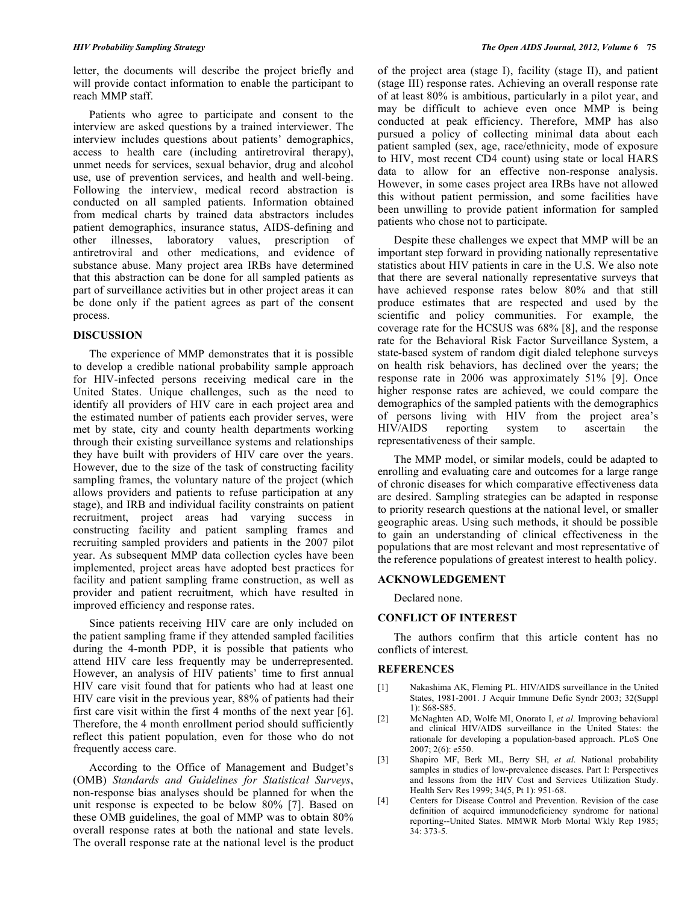letter, the documents will describe the project briefly and will provide contact information to enable the participant to reach MMP staff.

 Patients who agree to participate and consent to the interview are asked questions by a trained interviewer. The interview includes questions about patients' demographics, access to health care (including antiretroviral therapy), unmet needs for services, sexual behavior, drug and alcohol use, use of prevention services, and health and well-being. Following the interview, medical record abstraction is conducted on all sampled patients. Information obtained from medical charts by trained data abstractors includes patient demographics, insurance status, AIDS-defining and other illnesses, laboratory values, prescription of antiretroviral and other medications, and evidence of substance abuse. Many project area IRBs have determined that this abstraction can be done for all sampled patients as part of surveillance activities but in other project areas it can be done only if the patient agrees as part of the consent process.

#### **DISCUSSION**

 The experience of MMP demonstrates that it is possible to develop a credible national probability sample approach for HIV-infected persons receiving medical care in the United States. Unique challenges, such as the need to identify all providers of HIV care in each project area and the estimated number of patients each provider serves, were met by state, city and county health departments working through their existing surveillance systems and relationships they have built with providers of HIV care over the years. However, due to the size of the task of constructing facility sampling frames, the voluntary nature of the project (which allows providers and patients to refuse participation at any stage), and IRB and individual facility constraints on patient recruitment, project areas had varying success in constructing facility and patient sampling frames and recruiting sampled providers and patients in the 2007 pilot year. As subsequent MMP data collection cycles have been implemented, project areas have adopted best practices for facility and patient sampling frame construction, as well as provider and patient recruitment, which have resulted in improved efficiency and response rates.

 Since patients receiving HIV care are only included on the patient sampling frame if they attended sampled facilities during the 4-month PDP, it is possible that patients who attend HIV care less frequently may be underrepresented. However, an analysis of HIV patients' time to first annual HIV care visit found that for patients who had at least one HIV care visit in the previous year, 88% of patients had their first care visit within the first 4 months of the next year [6]. Therefore, the 4 month enrollment period should sufficiently reflect this patient population, even for those who do not frequently access care.

 According to the Office of Management and Budget's (OMB) *Standards and Guidelines for Statistical Surveys*, non-response bias analyses should be planned for when the unit response is expected to be below 80% [7]. Based on these OMB guidelines, the goal of MMP was to obtain 80% overall response rates at both the national and state levels. The overall response rate at the national level is the product

of the project area (stage I), facility (stage II), and patient (stage III) response rates. Achieving an overall response rate of at least 80% is ambitious, particularly in a pilot year, and may be difficult to achieve even once MMP is being conducted at peak efficiency. Therefore, MMP has also pursued a policy of collecting minimal data about each patient sampled (sex, age, race/ethnicity, mode of exposure to HIV, most recent CD4 count) using state or local HARS data to allow for an effective non-response analysis. However, in some cases project area IRBs have not allowed this without patient permission, and some facilities have been unwilling to provide patient information for sampled patients who chose not to participate.

 Despite these challenges we expect that MMP will be an important step forward in providing nationally representative statistics about HIV patients in care in the U.S. We also note that there are several nationally representative surveys that have achieved response rates below 80% and that still produce estimates that are respected and used by the scientific and policy communities. For example, the coverage rate for the HCSUS was 68% [8], and the response rate for the Behavioral Risk Factor Surveillance System, a state-based system of random digit dialed telephone surveys on health risk behaviors, has declined over the years; the response rate in 2006 was approximately 51% [9]. Once higher response rates are achieved, we could compare the demographics of the sampled patients with the demographics of persons living with HIV from the project area's HIV/AIDS reporting system to ascertain the representativeness of their sample.

 The MMP model, or similar models, could be adapted to enrolling and evaluating care and outcomes for a large range of chronic diseases for which comparative effectiveness data are desired. Sampling strategies can be adapted in response to priority research questions at the national level, or smaller geographic areas. Using such methods, it should be possible to gain an understanding of clinical effectiveness in the populations that are most relevant and most representative of the reference populations of greatest interest to health policy.

#### **ACKNOWLEDGEMENT**

Declared none.

## **CONFLICT OF INTEREST**

 The authors confirm that this article content has no conflicts of interest.

#### **REFERENCES**

- [1] Nakashima AK, Fleming PL. HIV/AIDS surveillance in the United States, 1981-2001. J Acquir Immune Defic Syndr 2003; 32(Suppl 1): S68-S85.
- [2] McNaghten AD, Wolfe MI, Onorato I, *et al*. Improving behavioral and clinical HIV/AIDS surveillance in the United States: the rationale for developing a population-based approach. PLoS One 2007; 2(6): e550.
- [3] Shapiro MF, Berk ML, Berry SH, *et al*. National probability samples in studies of low-prevalence diseases. Part I: Perspectives and lessons from the HIV Cost and Services Utilization Study. Health Serv Res 1999; 34(5, Pt 1): 951-68.
- [4] Centers for Disease Control and Prevention. Revision of the case definition of acquired immunodeficiency syndrome for national reporting--United States. MMWR Morb Mortal Wkly Rep 1985; 34: 373-5.